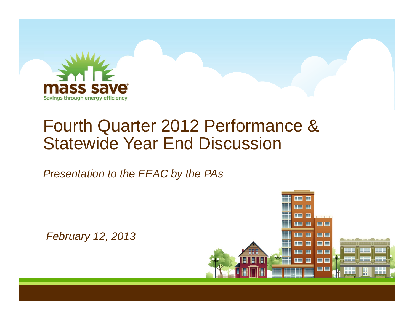

## Fourth Quarter 2012 Performance & Statewide Year End Discussion

*Presentation to the EEAC by the PAs*

*February 12, 2013*

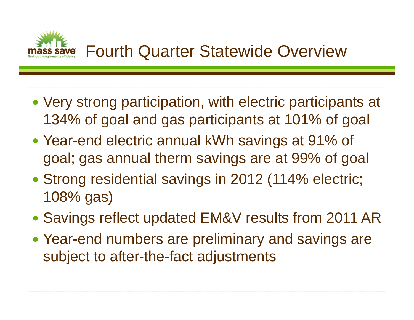

- Very strong participation, with electric participants at 134% of goal and gas participants at 101% of goal
- Year-end electric annual kWh savings at 91% of goal; gas annual therm savings are at 99% of goal
- Strong residential savings in 2012 (114% electric; 108% gas)
- Savings reflect updated EM&V results from 2011 AR
- Year-end numbers are preliminary and savings are subject to after-the-fact adjustments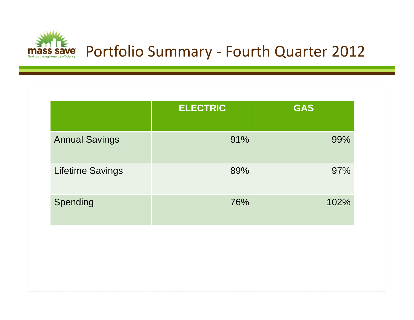

|                         | <b>ELECTRIC</b> | <b>GAS</b> |
|-------------------------|-----------------|------------|
| <b>Annual Savings</b>   | 91%             | 99%        |
| <b>Lifetime Savings</b> | 89%             | 97%        |
| Spending                | 76%             | 102%       |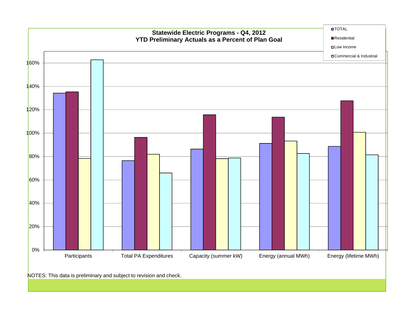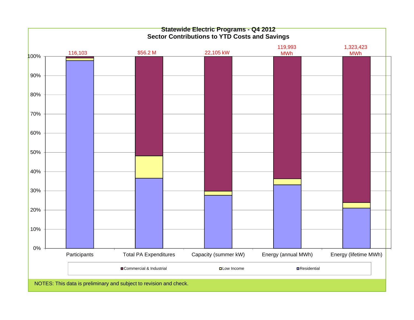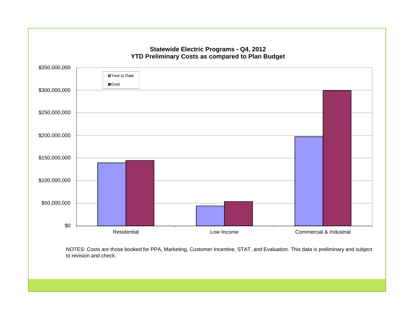

NOTES: Costs are those booked for PPA, Marketing, Customer Incentive, STAT, and Evaluation. This data is preliminary and subject to revision and check.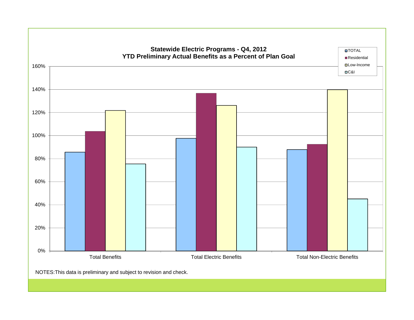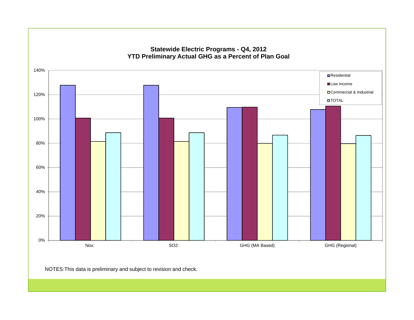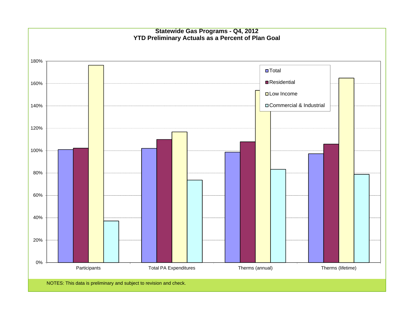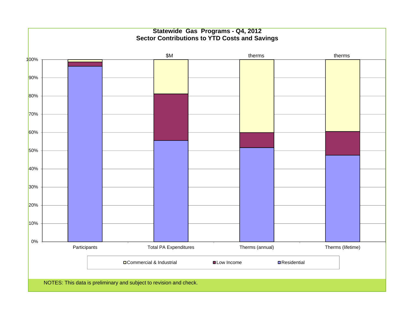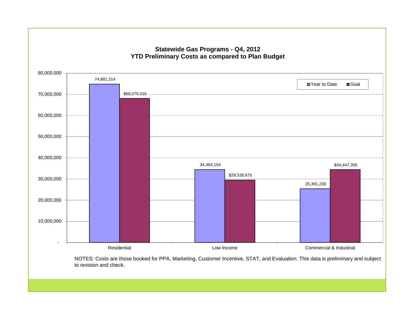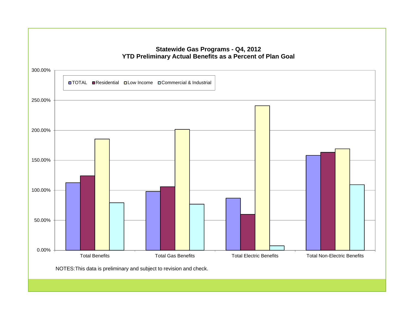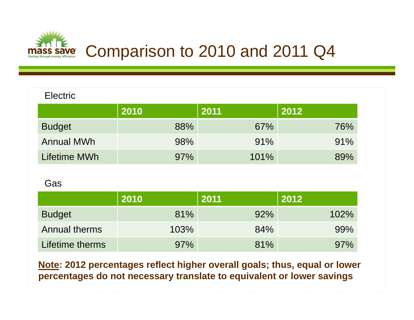

| <b>Electric</b>   |      |      |      |
|-------------------|------|------|------|
|                   | 2010 | 2011 | 2012 |
| <b>Budget</b>     | 88%  | 67%  | 76%  |
| <b>Annual MWh</b> | 98%  | 91%  | 91%  |
| Lifetime MWh      | 97%  | 101% | 89%  |

Gas

|                      | 2010 | 2011 | 2012 |
|----------------------|------|------|------|
| <b>Budget</b>        | 81%  | 92%  | 102% |
| <b>Annual therms</b> | 103% | 84%  | 99%  |
| Lifetime therms      | 97%  | 81%  | 97%  |

**Note: 2012 percentages reflect higher overall goals; thus, equal or lower percentages do not necessary translate to equivalent or lower savings**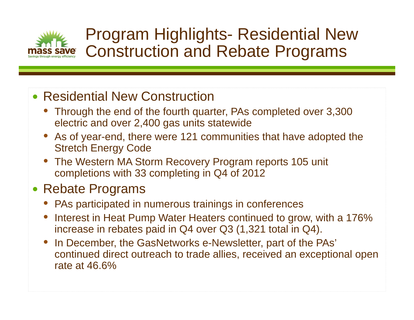

## Program Highlights- Residential New Construction and Rebate Programs

### • Residential New Construction

- Through the end of the fourth quarter, PAs completed over 3,300 electric and over 2,400 gas units statewide
- As of year-end, there were 121 communities that have adopted the Stretch Energy Code
- The Western MA Storm Recovery Program reports 105 unit completions with 33 completing in Q4 of 2012

### • Rebate Programs

- PAs participated in numerous trainings in conferences
- • Interest in Heat Pump Water Heaters continued to grow, with a 176% increase in rebates paid in Q4 over Q3 (1,321 total in Q4).
- • In December, the GasNetworks e-Newsletter, part of the PAs' continued direct outreach to trade allies, received an exceptional open rate at 46.6%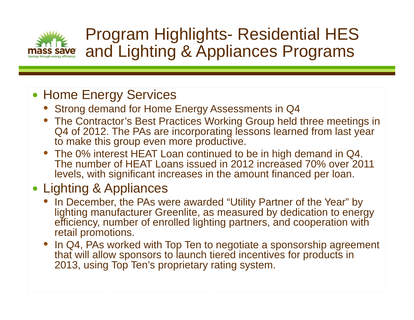

## Program Highlights- Residential HES and Lighting & Appliances Programs

### • Home Energy Services

- Strong demand for Home Energy Assessments in Q4
- The Contractor's Best Practices Working Group held three meetings in Q4 of 2012. The PAs are incorporating lessons learned from last year to make this group even more productive.
- The 0% interest HEAT Loan continued to be in high demand in Q4. The number of HEAT Loans issued in 2012 increased 70% over 2011 levels, with significant increases in the amount financed per loan.

## • Lighting & Appliances

- • In December, the PAs were awarded "Utility Partner of the Year" by lighting manufacturer Greenlite, as measured by dedication to energy efficiency, number of enrolled lighting partners, and cooperation with retail promotions.
- In Q4, PAs worked with Top Ten to negotiate a sponsorship agreement that will allow sponsors to launch tiered incentives for products in 2013, using Top Ten's proprietary rating system.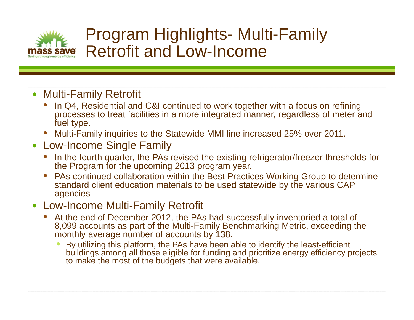

## Program Highlights- Multi-Family Retrofit and Low-Income

- Multi-Family Retrofit
	- • In Q4, Residential and C&I continued to work together with a focus on refining processes to treat facilities in a more integrated manner, regardless of meter and fuel type.
	- •Multi-Family inquiries to the Statewide MMI line increased 25% over 2011.

#### $\bullet$ Low-Income Single Family

- • In the fourth quarter, the PAs revised the existing refrigerator/freezer thresholds for the Program for the upcoming 2013 program year.
- • PAs continued collaboration within the Best Practices Working Group to determine standard client education materials to be used statewide by the various CAP agencies

#### • Low-Income Multi-Family Retrofit

- At the end of December 2012, the PAs had successfully inventoried a total of 8,099 accounts as part of the Multi-Family Benchmarking Metric, exceeding the monthly average number of accounts by 138.
	- • By utilizing this platform, the PAs have been able to identify the least-efficient buildings among all those eligible for funding and prioritize energy efficiency projects to make the most of the budgets that were available.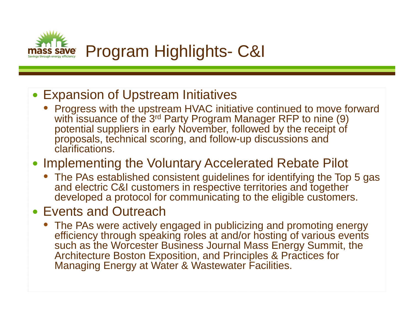

#### • Expansion of Upstream Initiatives

• Progress with the upstream HVAC initiative continued to move forward with issuance of the 3<sup>rd</sup> Party Program Manager RFP to nine (9) potential suppliers in early November, followed by the receipt of proposals, technical scoring, and follow-up discussions and clarifications.

#### • Implementing the Voluntary Accelerated Rebate Pilot

• The PAs established consistent guidelines for identifying the Top 5 gas and electric C&I customers in respective territories and together developed a protocol for communicating to the eligible customers.

#### • Events and Outreach

• The PAs were actively engaged in publicizing and promoting energy efficiency through speaking roles at and/or hosting of various events such as the Worcester Business Journal Mass Energy Summit, the Architecture Boston Exposition, and Principles & Practices for Managing Energy at Water & Wastewater Facilities.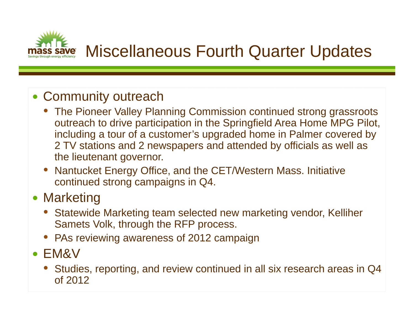

#### • Community outreach

- The Pioneer Valley Planning Commission continued strong grassroots outreach to drive participation in the Springfield Area Home MPG Pilot, including a tour of a customer's upgraded home in Palmer covered by 2 TV stations and 2 newspapers and attended by officials as well as the lieutenant governor.
- Nantucket Energy Office, and the CET/Western Mass. Initiative continued strong campaigns in Q4.

### • Marketing

- $\bullet$  Statewide Marketing team selected new marketing vendor, Kelliher Samets Volk, through the RFP process.
- PAs reviewing awareness of 2012 campaign
- EM&V
	- • Studies, reporting, and review continued in all six research areas in Q4 of 2012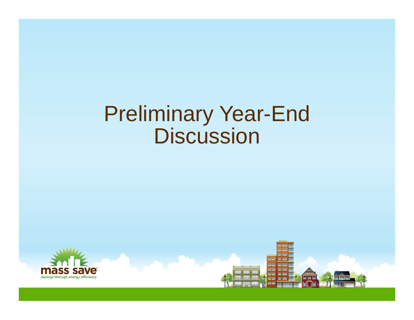# Preliminary Year-End Discussion



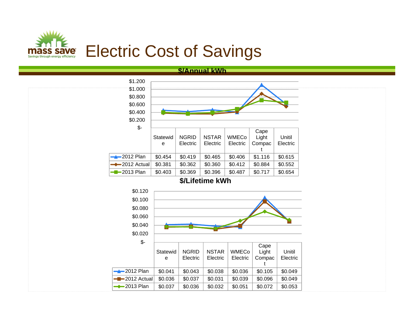

#### **\$/Annual kWh**

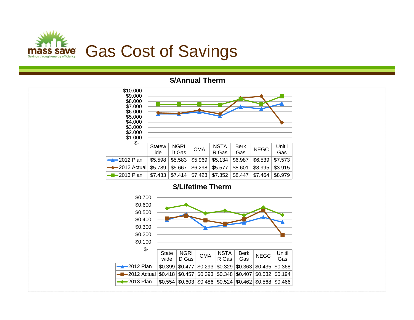

#### **\$/Annual Therm**



#### **\$/Lifetime Therm**

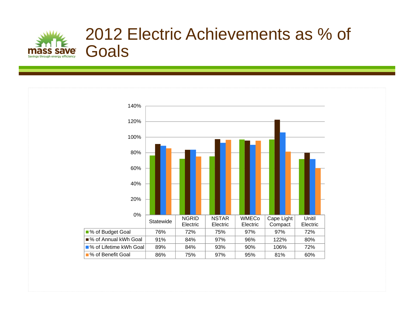